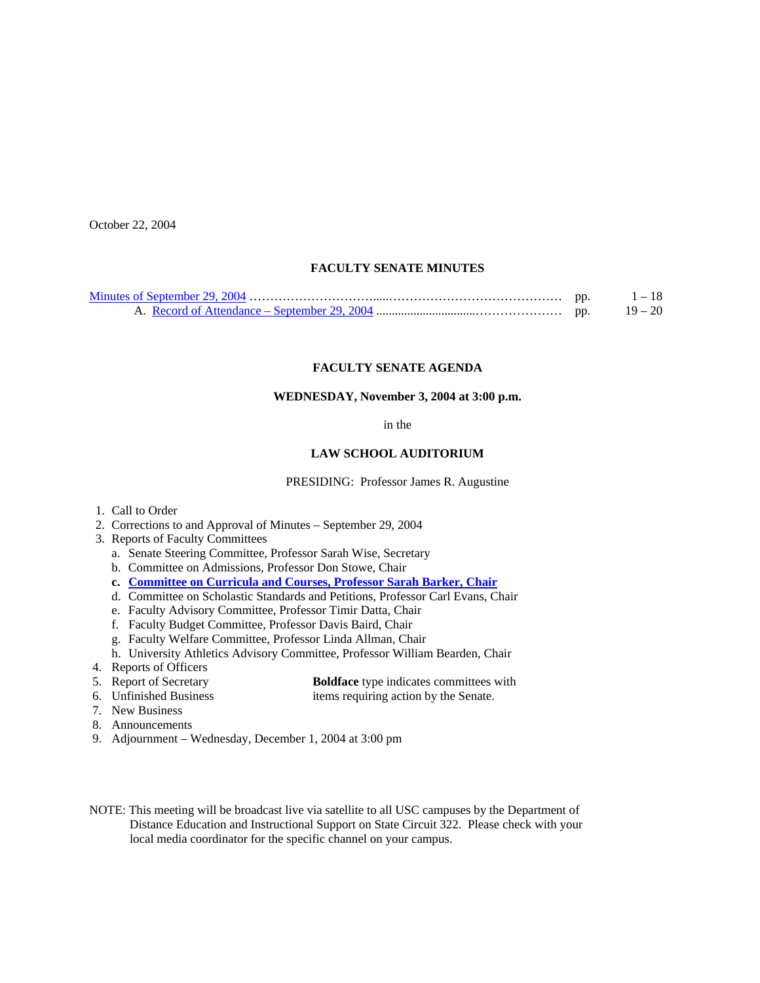October 22, 2004

#### **FACULTY SENATE MINUTES**

|  | $1 - 18$  |
|--|-----------|
|  | $19 - 20$ |

## **FACULTY SENATE AGENDA**

#### **WEDNESDAY, November 3, 2004 at 3:00 p.m.**

#### in the

#### **LAW SCHOOL AUDITORIUM**

PRESIDING: Professor James R. Augustine

- 1. Call to Order
- 2. Corrections to and Approval of Minutes September 29, 2004
- 3. Reports of Faculty Committees
	- a. Senate Steering Committee, Professor Sarah Wise, Secretary
	- b. Committee on Admissions, Professor Don Stowe, Chair
	- **c. [Committee on Curricula and Courses, Professor Sarah Barker, Chair](http://www.sc.edu/faculty/senate/04/agenda/1103.cc.pdf)**
	- d. Committee on Scholastic Standards and Petitions, Professor Carl Evans, Chair
	- e. Faculty Advisory Committee, Professor Timir Datta, Chair
	- f. Faculty Budget Committee, Professor Davis Baird, Chair
	- g. Faculty Welfare Committee, Professor Linda Allman, Chair
- h. University Athletics Advisory Committee, Professor William Bearden, Chair
- 4. Reports of Officers

| f Secretary | <b>Boldface</b> type indicates com- |  |
|-------------|-------------------------------------|--|
|-------------|-------------------------------------|--|

- 5. Report of Secretary **Boldface** type indicates committees with<br>6. Unfinished Business in terms requiring action by the Senate. items requiring action by the Senate.
- 7. New Business
- 8. Announcements
- 9. Adjournment Wednesday, December 1, 2004 at 3:00 pm
- NOTE: This meeting will be broadcast live via satellite to all USC campuses by the Department of Distance Education and Instructional Support on State Circuit 322. Please check with your local media coordinator for the specific channel on your campus.